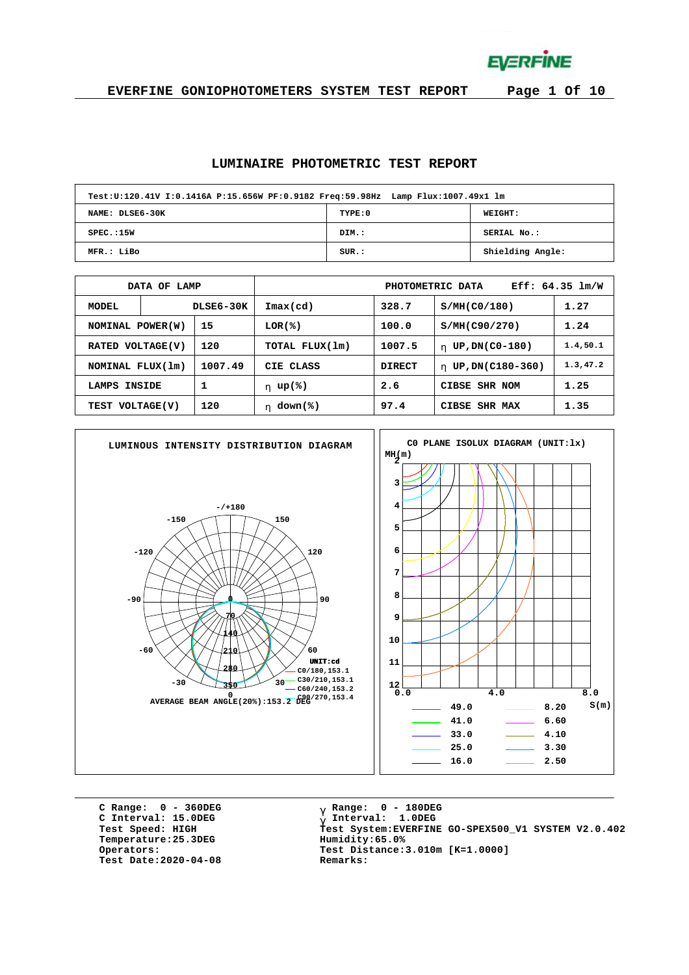**EVERFINE** 

**EVERFINE GONIOPHOTOMETERS SYSTEM TEST REPORT Page 1 Of 10**

#### **LUMINAIRE PHOTOMETRIC TEST REPORT**

| Test:U:120.41V I:0.1416A P:15.656W PF:0.9182 Freq:59.98Hz Lamp Flux:1007.49x1 lm |         |                  |  |  |  |  |  |  |  |  |  |
|----------------------------------------------------------------------------------|---------|------------------|--|--|--|--|--|--|--|--|--|
| NAME: DLSE6-30K                                                                  | TYPE: 0 | <b>WEIGHT:</b>   |  |  |  |  |  |  |  |  |  |
| SPEC.:15W                                                                        | DIM.:   | SERIAL No.:      |  |  |  |  |  |  |  |  |  |
| MFR.: LiBo                                                                       | SUR.:   | Shielding Angle: |  |  |  |  |  |  |  |  |  |

|                            | OF LAMP<br><b>DATA</b> |                  | $Eff: 64.35$ $lm/W$<br>PHOTOMETRIC DATA |                          |                        |           |  |  |  |  |  |
|----------------------------|------------------------|------------------|-----------------------------------------|--------------------------|------------------------|-----------|--|--|--|--|--|
| MODEL                      |                        | <b>DLSE6-30K</b> | Imax(cd)                                | 328.7                    | S/MH(C0/180)           | 1.27      |  |  |  |  |  |
| 15<br>NOMINAL POWER(W)     |                        |                  | LOR(8)                                  | 100.0<br>S/MH(C90/270)   |                        |           |  |  |  |  |  |
| VOLTAGE(V)<br><b>RATED</b> |                        | 120              | TOTAL FLUX(1m)                          | 1007.5                   | UP, DN(C0-180)<br>h.   | 1.4, 50.1 |  |  |  |  |  |
| NOMINAL FLUX(1m)           |                        | 1007.49          | CIE CLASS                               | <b>DIRECT</b>            | UP, DN(C180-360)<br>h. | 1.3,47.2  |  |  |  |  |  |
| 1<br>INSIDE<br>LAMPS       |                        |                  | h $up$ (%)                              | 2.6                      | CIBSE SHR NOM          | 1.25      |  |  |  |  |  |
| 120<br>TEST VOLTAGE(V)     |                        |                  | h down $(*)$                            | 1.35<br>CIBSE<br>SHR MAX |                        |           |  |  |  |  |  |



**C Range: 0 - 360DEG C Interval: 15.0DEG**  $Temperature:25.3DEG$ **Test Date:2020-04-08 Remarks:**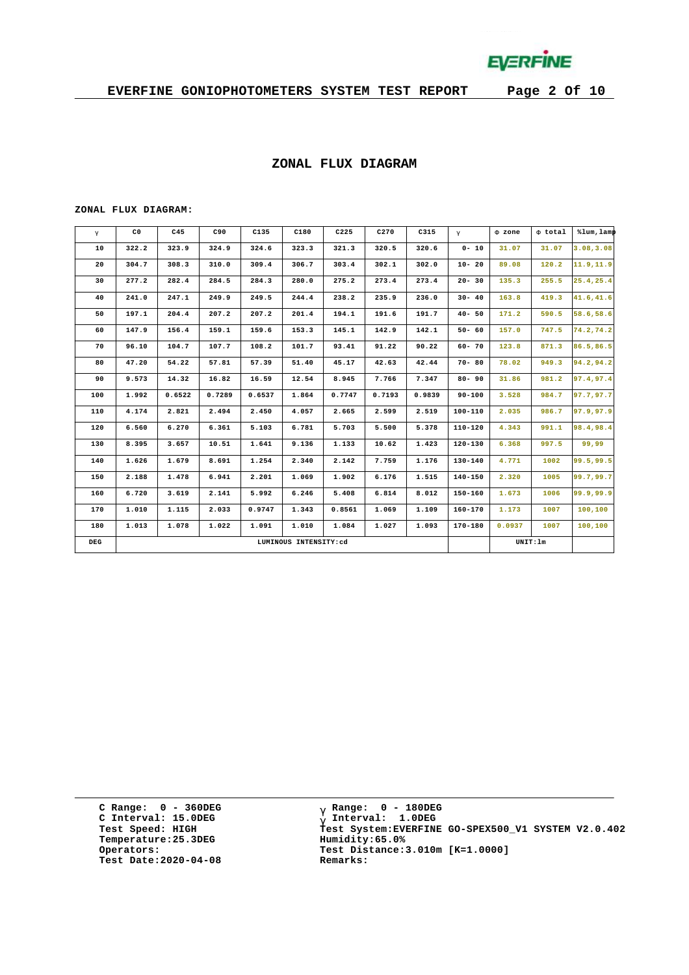

#### **ZONAL FLUX DIAGRAM**

#### **ZONAL FLUX DIAGRAM:**

| g   | C <sub>0</sub> | C45    | C90    | C135   | C180                  | C225   | C270   | C315   | $\mathsf{q}$ | F zone | F total  | %lum, lamp |
|-----|----------------|--------|--------|--------|-----------------------|--------|--------|--------|--------------|--------|----------|------------|
| 10  | 322.2          | 323.9  | 324.9  | 324.6  | 323.3                 | 321.3  | 320.5  | 320.6  | $0 - 10$     | 31.07  | 31.07    | 3.08, 3.08 |
| 20  | 304.7          | 308.3  | 310.0  | 309.4  | 306.7                 | 303.4  | 302.1  | 302.0  | $10 - 20$    | 89.08  | 120.2    | 11.9, 11.9 |
| 30  | 277.2          | 282.4  | 284.5  | 284.3  | 280.0                 | 275.2  | 273.4  | 273.4  | $20 - 30$    | 135.3  | 255.5    | 25.4,25.4  |
| 40  | 241.0          | 247.1  | 249.9  | 249.5  | 244.4                 | 238.2  | 235.9  | 236.0  | $30 - 40$    | 163.8  | 419.3    | 41.6,41.6  |
| 50  | 197.1          | 204.4  | 207.2  | 207.2  | 201.4                 | 194.1  | 191.6  | 191.7  | $40 - 50$    | 171.2  | 590.5    | 58.6,58.6  |
| 60  | 147.9          | 156.4  | 159.1  | 159.6  | 153.3                 | 145.1  | 142.9  | 142.1  | $50 - 60$    | 157.0  | 747.5    | 74.2,74.2  |
| 70  | 96.10          | 104.7  | 107.7  | 108.2  | 101.7                 | 93.41  | 91.22  | 90.22  | $60 - 70$    | 123.8  | 871.3    | 86.5,86.5  |
| 80  | 47.20          | 54.22  | 57.81  | 57.39  | 51.40                 | 45.17  | 42.63  | 42.44  | $70 - 80$    | 78.02  | 949.3    | 94.2,94.2  |
| 90  | 9.573          | 14.32  | 16.82  | 16.59  | 12.54                 | 8.945  | 7.766  | 7.347  | $80 - 90$    | 31.86  | 981.2    | 97.4,97.4  |
| 100 | 1.992          | 0.6522 | 0.7289 | 0.6537 | 1.864                 | 0.7747 | 0.7193 | 0.9839 | $90 - 100$   | 3.528  | 984.7    | 97.7.97.7  |
| 110 | 4.174          | 2.821  | 2.494  | 2.450  | 4.057                 | 2.665  | 2.599  | 2.519  | 100-110      | 2.035  | 986.7    | 97.9,97.9  |
| 120 | 6.560          | 6.270  | 6.361  | 5.103  | 6.781                 | 5.703  | 5.500  | 5.378  | $110 - 120$  | 4.343  | 991.1    | 98.4,98.4  |
| 130 | 8.395          | 3.657  | 10.51  | 1.641  | 9.136                 | 1.133  | 10.62  | 1.423  | $120 - 130$  | 6.368  | 997.5    | 99,99      |
| 140 | 1.626          | 1.679  | 8.691  | 1.254  | 2.340                 | 2.142  | 7.759  | 1.176  | 130-140      | 4.771  | 1002     | 99.5,99.5  |
| 150 | 2.188          | 1.478  | 6.941  | 2.201  | 1.069                 | 1.902  | 6.176  | 1.515  | $140 - 150$  | 2.320  | 1005     | 99.7,99.7  |
| 160 | 6.720          | 3.619  | 2.141  | 5.992  | 6.246                 | 5.408  | 6.814  | 8.012  | $150 - 160$  | 1.673  | 1006     | 99.9,99.9  |
| 170 | 1.010          | 1.115  | 2.033  | 0.9747 | 1.343                 | 0.8561 | 1.069  | 1.109  | $160 - 170$  | 1.173  | 1007     | 100,100    |
| 180 | 1.013          | 1.078  | 1.022  | 1.091  | 1.010                 | 1.084  | 1.027  | 1.093  | 170-180      | 0.0937 | 1007     | 100,100    |
| DEG |                |        |        |        | LUMINOUS INTENSITY:cd |        |        |        |              |        | UNIT: 1m |            |

**C Range: 0 - 360DEG C Interval: 15.0DEG Temperature:25.3DEG Humidity:65.0% Test Date:2020-04-08 Remarks:**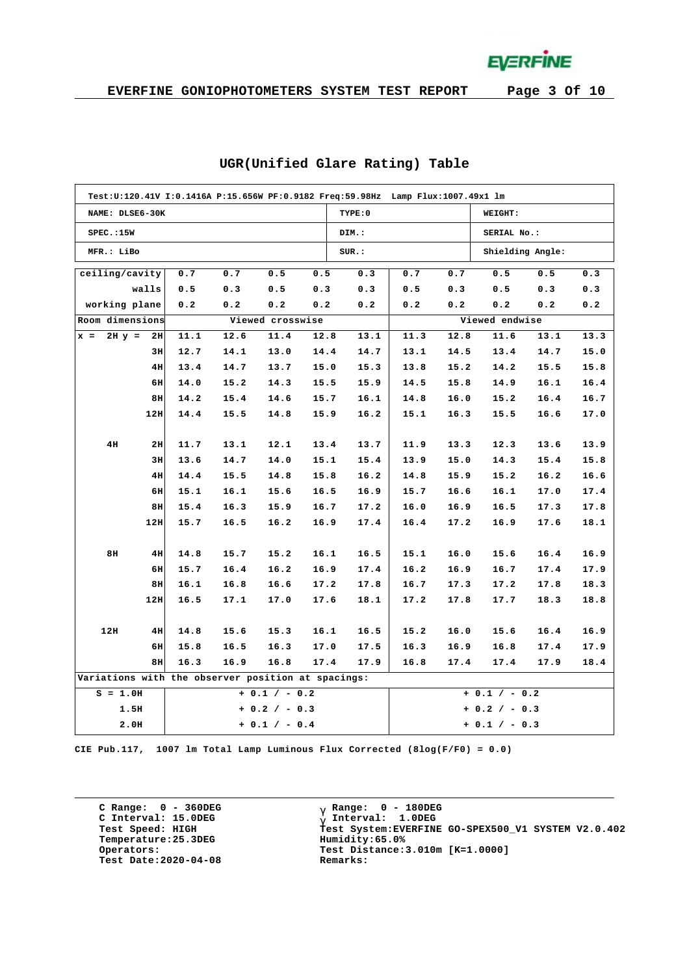**EVERFINE** 

|                                                    | Test:U:120.41V I:0.1416A P:15.656W PF:0.9182 Freq:59.98Hz Lamp Flux:1007.49x1 lm |      |      |                  |      |         |      |      |                  |      |      |  |  |  |
|----------------------------------------------------|----------------------------------------------------------------------------------|------|------|------------------|------|---------|------|------|------------------|------|------|--|--|--|
| NAME: DLSE6-30K                                    |                                                                                  |      |      |                  |      | TYPE: 0 |      |      | WEIGHT:          |      |      |  |  |  |
| SPEC.:15W                                          |                                                                                  |      |      |                  |      | DIM.:   |      |      | SERIAL No.:      |      |      |  |  |  |
| MFR.: LiBo                                         |                                                                                  |      |      |                  |      | SUR.:   |      |      | Shielding Angle: |      |      |  |  |  |
| ceiling/cavity                                     |                                                                                  | 0.7  | 0.7  | 0.5              | 0.5  | 0.3     | 0.7  | 0.7  | 0.5              | 0.5  | 0.3  |  |  |  |
|                                                    | walls                                                                            | 0.5  | 0.3  | 0.5              | 0.3  | 0.3     | 0.5  | 0.3  | 0.5              | 0.3  | 0.3  |  |  |  |
| working plane                                      |                                                                                  | 0.2  | 0.2  | 0.2              | 0.2  | 0.2     | 0.2  | 0.2  | 0.2              | 0.2  | 0.2  |  |  |  |
| Room dimensions                                    |                                                                                  |      |      | Viewed crosswise |      |         |      |      | Viewed endwise   |      |      |  |  |  |
| $x =$                                              | $2H y = 2H$                                                                      | 11.1 | 12.6 | 11.4             | 12.8 | 13.1    | 11.3 | 12.8 | 11.6             | 13.1 | 13.3 |  |  |  |
|                                                    | 3H                                                                               | 12.7 | 14.1 | 13.0             | 14.4 | 14.7    | 13.1 | 14.5 | 13.4             | 14.7 | 15.0 |  |  |  |
|                                                    | 4H                                                                               | 13.4 | 14.7 | 13.7             | 15.0 | 15.3    | 13.8 | 15.2 | 14.2             | 15.5 | 15.8 |  |  |  |
|                                                    | 6H                                                                               | 14.0 | 15.2 | 14.3             | 15.5 | 15.9    | 14.5 | 15.8 | 14.9             | 16.1 | 16.4 |  |  |  |
|                                                    | 8H                                                                               | 14.2 | 15.4 | 14.6             | 15.7 | 16.1    | 14.8 | 16.0 | 15.2             | 16.4 | 16.7 |  |  |  |
|                                                    | 12H                                                                              | 14.4 | 15.5 | 14.8             | 15.9 | 16.2    | 15.1 | 16.3 | 15.5             | 16.6 | 17.0 |  |  |  |
|                                                    |                                                                                  |      |      |                  |      |         |      |      |                  |      |      |  |  |  |
| 4H                                                 | 2H                                                                               | 11.7 | 13.1 | 12.1             | 13.4 | 13.7    | 11.9 | 13.3 | 12.3             | 13.6 | 13.9 |  |  |  |
|                                                    | 3H                                                                               | 13.6 | 14.7 | 14.0             | 15.1 | 15.4    | 13.9 | 15.0 | 14.3             | 15.4 | 15.8 |  |  |  |
|                                                    | 4H                                                                               | 14.4 | 15.5 | 14.8             | 15.8 | 16.2    | 14.8 | 15.9 | 15.2             | 16.2 | 16.6 |  |  |  |
|                                                    | 6H                                                                               | 15.1 | 16.1 | 15.6             | 16.5 | 16.9    | 15.7 | 16.6 | 16.1             | 17.0 | 17.4 |  |  |  |
|                                                    | 8H                                                                               | 15.4 | 16.3 | 15.9             | 16.7 | 17.2    | 16.0 | 16.9 | 16.5             | 17.3 | 17.8 |  |  |  |
|                                                    | 12H                                                                              | 15.7 | 16.5 | 16.2             | 16.9 | 17.4    | 16.4 | 17.2 | 16.9             | 17.6 | 18.1 |  |  |  |
|                                                    |                                                                                  |      |      |                  |      |         |      |      |                  |      |      |  |  |  |
| 8H                                                 | 4H                                                                               | 14.8 | 15.7 | 15.2             | 16.1 | 16.5    | 15.1 | 16.0 | 15.6             | 16.4 | 16.9 |  |  |  |
|                                                    | 6H                                                                               | 15.7 | 16.4 | 16.2             | 16.9 | 17.4    | 16.2 | 16.9 | 16.7             | 17.4 | 17.9 |  |  |  |
|                                                    | 8H                                                                               | 16.1 | 16.8 | 16.6             | 17.2 | 17.8    | 16.7 | 17.3 | 17.2             | 17.8 | 18.3 |  |  |  |
|                                                    | 12H                                                                              | 16.5 | 17.1 | 17.0             | 17.6 | 18.1    | 17.2 | 17.8 | 17.7             | 18.3 | 18.8 |  |  |  |
|                                                    |                                                                                  |      |      |                  |      |         |      |      |                  |      |      |  |  |  |
| 12H                                                | 4H                                                                               | 14.8 | 15.6 | 15.3             | 16.1 | 16.5    | 15.2 | 16.0 | 15.6             | 16.4 | 16.9 |  |  |  |
|                                                    | 6H                                                                               | 15.8 | 16.5 | 16.3             | 17.0 | 17.5    | 16.3 | 16.9 | 16.8             | 17.4 | 17.9 |  |  |  |
|                                                    | 8H                                                                               | 16.3 | 16.9 | 16.8             | 17.4 | 17.9    | 16.8 | 17.4 | 17.4             | 17.9 | 18.4 |  |  |  |
| Variations with the observer position at spacings: |                                                                                  |      |      |                  |      |         |      |      |                  |      |      |  |  |  |
| $S = 1.0H$                                         |                                                                                  |      |      | $+ 0.1 / - 0.2$  |      |         |      |      | $+ 0.1 / - 0.2$  |      |      |  |  |  |
|                                                    | 1.5H                                                                             |      |      | $+ 0.2 / - 0.3$  |      |         |      |      | $+ 0.2 / - 0.3$  |      |      |  |  |  |
|                                                    | 2.0H                                                                             |      |      | $+ 0.1 / - 0.4$  |      |         |      |      | $+ 0.1 / - 0.3$  |      |      |  |  |  |

#### **UGR(Unified Glare Rating) Table**

**CIE Pub.117, 1007 lm Total Lamp Luminous Flux Corrected (8log(F/F0) = 0.0)**

**C Range: 0 - 360DEG C Interval: 15.0DEG Temperature:25.3DEG Humidity:65.0% Test Date:2020-04-08 Remarks:**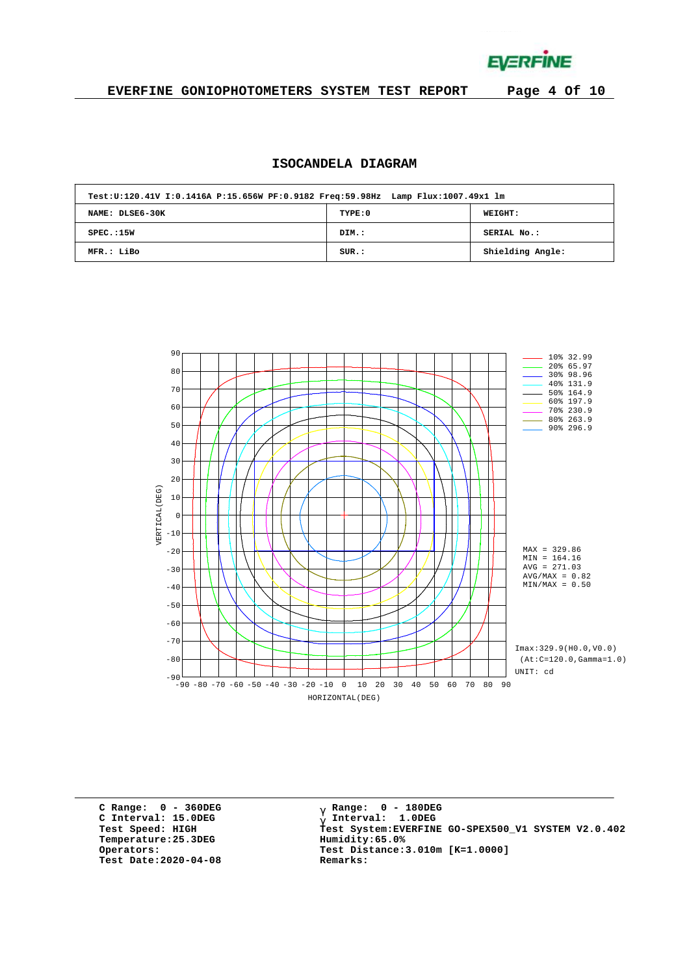**EVERFINE** 

#### **EVERFINE GONIOPHOTOMETERS SYSTEM TEST REPORT Page 4 Of 10**

# **ISOCANDELA DIAGRAM**

| Test:U:120.41V I:0.1416A P:15.656W PF:0.9182 Freq:59.98Hz Lamp Flux:1007.49x1 lm |         |                  |  |  |  |  |  |  |  |  |  |
|----------------------------------------------------------------------------------|---------|------------------|--|--|--|--|--|--|--|--|--|
| NAME: DLSE6-30K                                                                  | TYPE: 0 | <b>WEIGHT:</b>   |  |  |  |  |  |  |  |  |  |
| SPEC.:15W                                                                        | DIM.:   | SERIAL No.:      |  |  |  |  |  |  |  |  |  |
| MFR.: LiBo                                                                       | SUR.:   | Shielding Angle: |  |  |  |  |  |  |  |  |  |



**C Range: 0 - 360DEG C Interval: 15.0DEG Temperature:25.3DEG Humidity:65.0% Test Date:2020-04-08 Remarks:**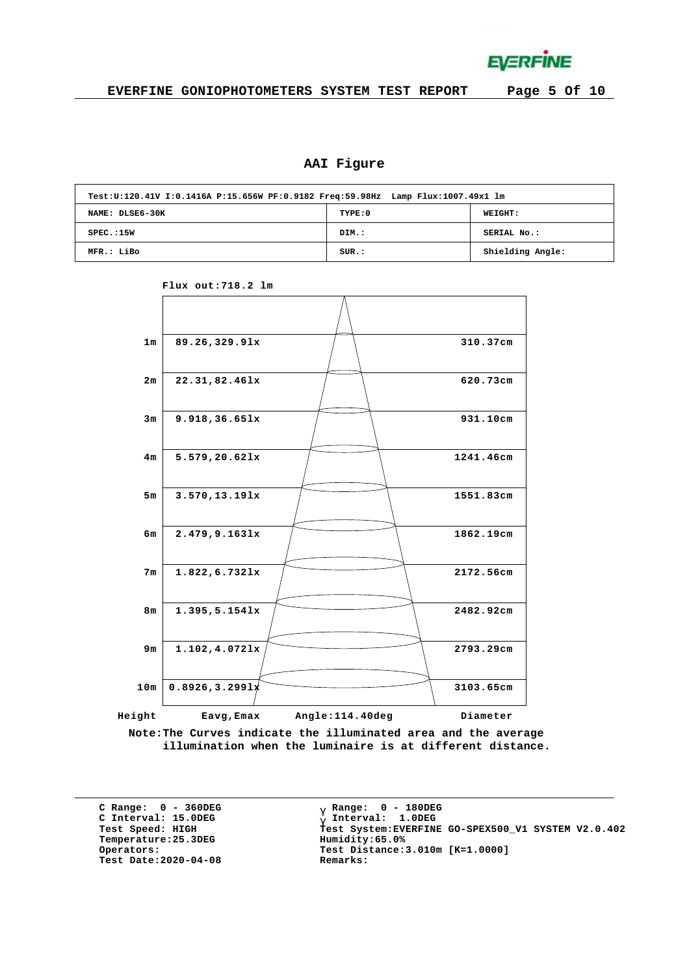

# **AAI Figure**

| Test:U:120.41V I:0.1416A P:15.656W PF:0.9182 Freq:59.98Hz Lamp Flux:1007.49x1 lm |         |                  |  |  |  |  |  |  |  |  |  |
|----------------------------------------------------------------------------------|---------|------------------|--|--|--|--|--|--|--|--|--|
| NAME: DLSE6-30K                                                                  | TYPE: 0 | <b>WEIGHT:</b>   |  |  |  |  |  |  |  |  |  |
| SPEC.:15W                                                                        | DIM.:   | SERIAL No.:      |  |  |  |  |  |  |  |  |  |
| MFR.: LiBo                                                                       | SUR.:   | Shielding Angle: |  |  |  |  |  |  |  |  |  |



**Flux out:718.2 lm**

**Note:The Curves indicate the illuminated area and the average illumination when the luminaire is at different distance.**

**C Range: 0 - 360DEG C Interval: 15.0DEG**  $Temperature:25.3DEG$ **Test Date:2020-04-08 Remarks:**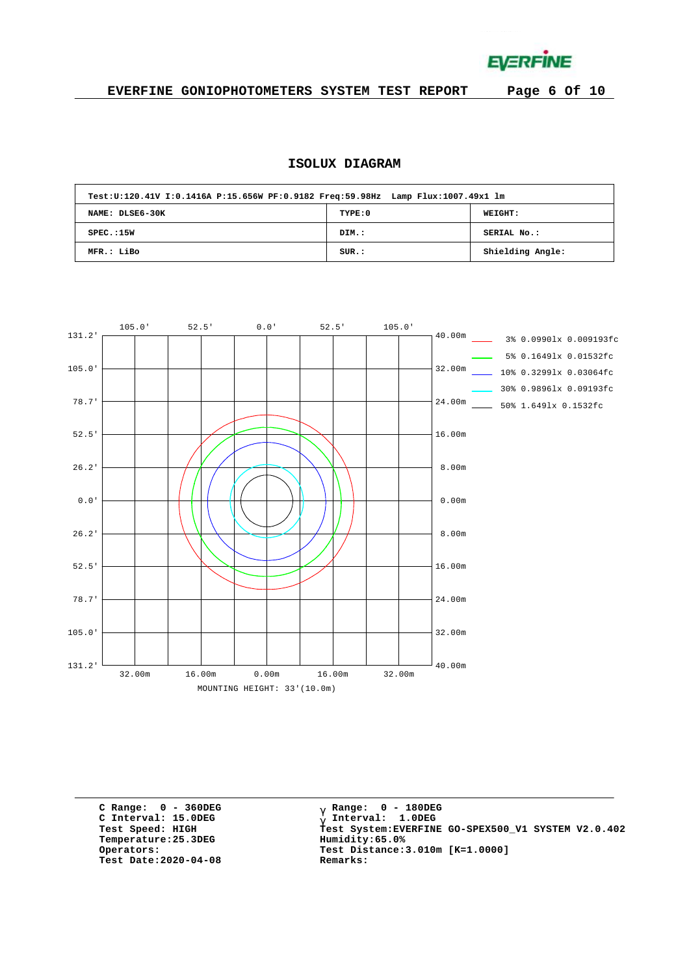**EVERFINE** 

# **EVERFINE GONIOPHOTOMETERS SYSTEM TEST REPORT Page 6 Of 10**

# **ISOLUX DIAGRAM**

| Test:U:120.41V I:0.1416A P:15.656W PF:0.9182 Freq:59.98Hz Lamp Flux:1007.49x1 lm |         |                  |  |  |  |  |  |  |  |  |  |
|----------------------------------------------------------------------------------|---------|------------------|--|--|--|--|--|--|--|--|--|
| NAME: DLSE6-30K                                                                  | TYPE: 0 | WEIGHT:          |  |  |  |  |  |  |  |  |  |
| SPEC.:15W                                                                        | DIM.:   | SERIAL No.:      |  |  |  |  |  |  |  |  |  |
| MFR.: LiBo                                                                       | SUR.:   | Shielding Angle: |  |  |  |  |  |  |  |  |  |



**C Range: 0 - 360DEG C Interval: 15.0DEG**  $Temperature:25.3DEG$ **Test Date:2020-04-08 Remarks:**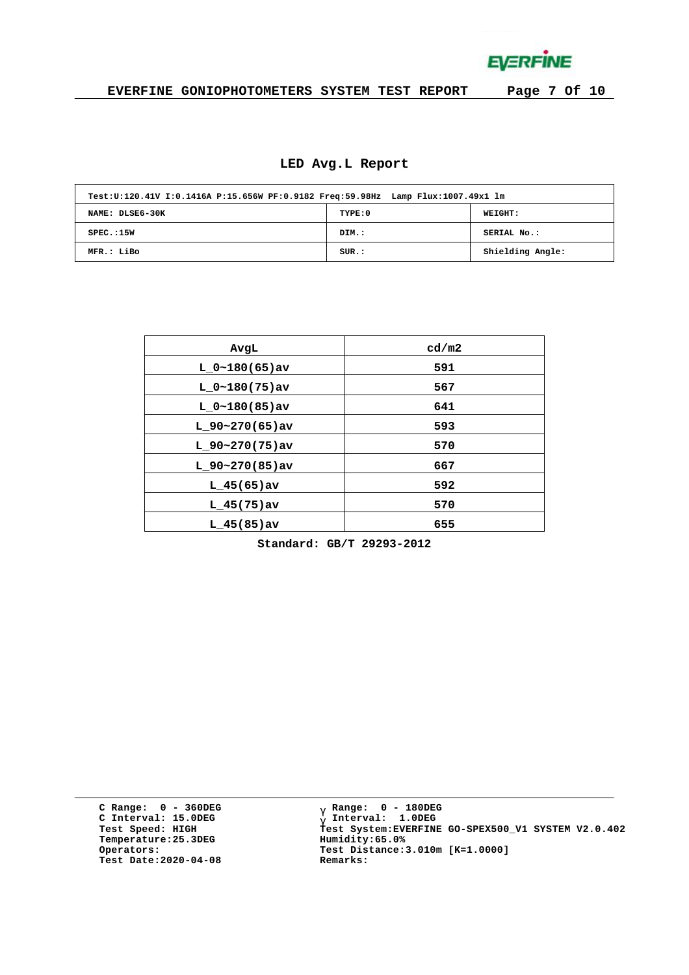**EVERFINE** 

# **EVERFINE GONIOPHOTOMETERS SYSTEM TEST REPORT Page 7 Of 10**

# **LED Avg.L Report**

| Test:U:120.41V I:0.1416A P:15.656W PF:0.9182 Freq:59.98Hz Lamp Flux:1007.49x1 lm |         |                  |  |  |  |  |  |  |  |  |  |
|----------------------------------------------------------------------------------|---------|------------------|--|--|--|--|--|--|--|--|--|
| NAME: DLSE6-30K                                                                  | TYPE: 0 | <b>WEIGHT:</b>   |  |  |  |  |  |  |  |  |  |
| SPEC.:15W                                                                        | DIM.:   | SERIAL No.:      |  |  |  |  |  |  |  |  |  |
| MFR.: LiBo                                                                       | SUR.:   | Shielding Angle: |  |  |  |  |  |  |  |  |  |

| AvgL              | cd/m2 |
|-------------------|-------|
| $L_0~180(65)$ av  | 591   |
| $L 0~180(75)$ av  | 567   |
| $L 0~180(85)$ av  | 641   |
| $L_90-270(65)$ av | 593   |
| $L$ 90~270(75)av  | 570   |
| $L$ 90~270(85)av  | 667   |
| $L$ 45(65) av     | 592   |
| $L$ 45(75)av      | 570   |
| $L$ 45(85)av      | 655   |

**Standard: GB/T 29293-2012**

**C Range: 0 - 360DEG C Interval: 15.0DEG Temperature:25.3DEG Humidity:65.0% Test Date:2020-04-08 Remarks:**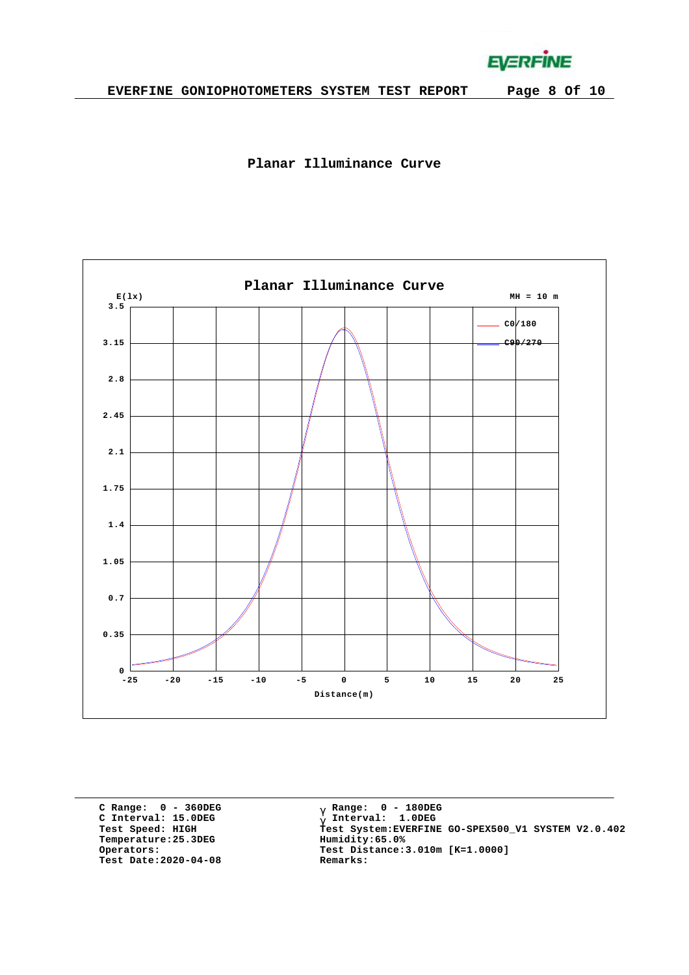**EVERFINE** 





**C Range: 0 - 360DEG C Interval: 15.0DEG Temperature:25.3DEG Humidity:65.0% Test Date:2020-04-08 Remarks:**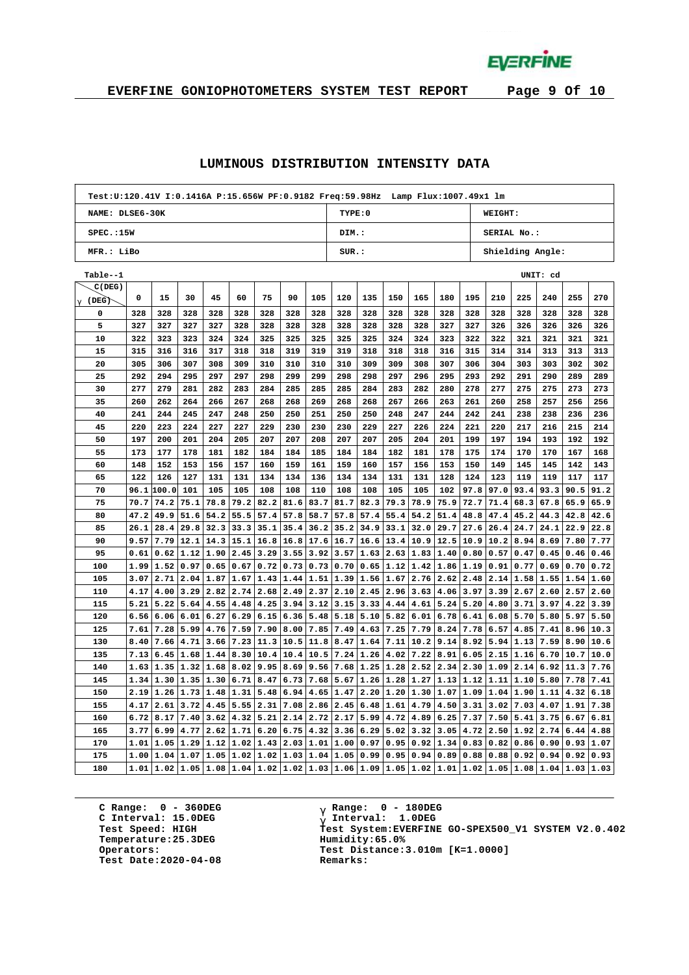**EVERFINE** 

# **EVERFINE GONIOPHOTOMETERS SYSTEM TEST REPORT Page 9 Of 10**

#### **LUMINOUS DISTRIBUTION INTENSITY DATA**

|                 | Test:U:120.41V I:0.1416A P:15.656W PF:0.9182 Freq:59.98Hz Lamp Flux:1007.49x1 lm |       |               |                  |      |                                                |      |      |                           |      |      |      |                             |      |             |      |          |             |      |
|-----------------|----------------------------------------------------------------------------------|-------|---------------|------------------|------|------------------------------------------------|------|------|---------------------------|------|------|------|-----------------------------|------|-------------|------|----------|-------------|------|
| NAME: DLSE6-30K |                                                                                  |       |               |                  |      |                                                |      |      | TYPE: 0                   |      |      |      |                             |      | WEIGHT:     |      |          |             |      |
| SPEC.:15W       |                                                                                  |       |               |                  |      |                                                |      |      | DIM.:                     |      |      |      |                             |      | SERIAL No.: |      |          |             |      |
| MFR.: LiBo      |                                                                                  |       |               |                  |      |                                                |      |      | SUR.:<br>Shielding Angle: |      |      |      |                             |      |             |      |          |             |      |
| Table--1        |                                                                                  |       |               |                  |      |                                                |      |      |                           |      |      |      |                             |      |             |      | UNIT: cd |             |      |
| C(DEG)          |                                                                                  |       |               |                  |      |                                                |      |      |                           |      |      |      |                             |      |             |      |          |             |      |
| g (DEG)         | 0                                                                                | 15    | 30            | 45               | 60   | 75                                             | 90   | 105  | 120                       | 135  | 150  | 165  | 180                         | 195  | 210         | 225  | 240      | 255         | 270  |
| 0               | 328                                                                              | 328   | 328           | 328              | 328  | 328                                            | 328  | 328  | 328                       | 328  | 328  | 328  | 328                         | 328  | 328         | 328  | 328      | 328         | 328  |
| 5               | 327                                                                              | 327   | 327           | 327              | 328  | 328                                            | 328  | 328  | 328                       | 328  | 328  | 328  | 327                         | 327  | 326         | 326  | 326      | 326         | 326  |
| 10              | 322                                                                              | 323   | 323           | 324              | 324  | 325                                            | 325  | 325  | 325                       | 325  | 324  | 324  | 323                         | 322  | 322         | 321  | 321      | 321         | 321  |
| 15              | 315                                                                              | 316   | 316           | 317              | 318  | 318                                            | 319  | 319  | 319                       | 318  | 318  | 318  | 316                         | 315  | 314         | 314  | 313      | 313         | 313  |
| 20              | 305                                                                              | 306   | 307           | 308              | 309  | 310                                            | 310  | 310  | 310                       | 309  | 309  | 308  | 307                         | 306  | 304         | 303  | 303      | 302         | 302  |
| 25              | 292                                                                              | 294   | 295           | 297              | 297  | 298                                            | 299  | 299  | 298                       | 298  | 297  | 296  | 295                         | 293  | 292         | 291  | 290      | 289         | 289  |
| 30              | 277                                                                              | 279   | 281           | 282              | 283  | 284                                            | 285  | 285  | 285                       | 284  | 283  | 282  | 280                         | 278  | 277         | 275  | 275      | 273         | 273  |
| 35              | 260                                                                              | 262   | 264           | 266              | 267  | 268                                            | 268  | 269  | 268                       | 268  | 267  | 266  | 263                         | 261  | 260         | 258  | 257      | 256         | 256  |
| 40              | 241                                                                              | 244   | 245           | 247              | 248  | 250                                            | 250  | 251  | 250                       | 250  | 248  | 247  | 244                         | 242  | 241         | 238  | 238      | 236         | 236  |
| 45              | 220                                                                              | 223   | 224           | 227              | 227  | 229                                            | 230  | 230  | 230                       | 229  | 227  | 226  | 224                         | 221  | 220         | 217  | 216      | 215         | 214  |
| 50              | 197                                                                              | 200   | 201           | 204              | 205  | 207                                            | 207  | 208  | 207                       | 207  | 205  | 204  | 201                         | 199  | 197         | 194  | 193      | 192         | 192  |
| 55              | 173                                                                              | 177   | 178           | 181              | 182  | 184                                            | 184  | 185  | 184                       | 184  | 182  | 181  | 178                         | 175  | 174         | 170  | 170      | 167         | 168  |
| 60              | 148                                                                              | 152   | 153           | 156              | 157  | 160                                            | 159  | 161  | 159                       | 160  | 157  | 156  | 153                         | 150  | 149         | 145  | 145      | 142         | 143  |
| 65              | 122                                                                              | 126   | 127           | 131              | 131  | 134                                            | 134  | 136  | 134                       | 134  | 131  | 131  | 128                         | 124  | 123         | 119  | 119      | 117         | 117  |
| 70              | 96.1                                                                             | 100.0 | 101           | 105              | 105  | 108                                            | 108  | 110  | 108                       | 108  | 105  | 105  | 102                         | 97.8 | 97.0        | 93.4 | 93.3     | 90.5        | 91.2 |
| 75              | 70.7                                                                             | 74.2  | 75.1          | 78.8             | 79.2 | 82.2                                           | 81.6 | 83.7 | 81.7                      | 82.3 | 79.3 | 78.9 | 75.9                        | 72.7 | 71.4        | 68.3 | 67.8     | 65.9        | 65.9 |
| 80              | 47.2                                                                             | 49.9  | 51.6          | 54.2             | 55.5 | 57.4                                           | 57.8 | 58.7 | 57.8                      | 57.4 | 55.4 | 54.2 | 51.4                        | 48.8 | 47.4        | 45.2 | 44.3     | 42.8        | 42.6 |
| 85              | 26.1                                                                             | 28.4  | 29.8          | 32.3             | 33.3 | 35.1                                           | 35.4 | 36.2 | 35.2                      | 34.9 | 33.1 | 32.0 | 29.7                        | 27.6 | 26.4        | 24.7 | 24.1     | 22.9        | 22.8 |
| 90              | 9.57                                                                             | 7.79  | 12.1          | 14.3             | 15.1 | 16.8                                           | 16.8 | 17.6 | 16.7                      | 16.6 | 13.4 | 10.9 | 12.5                        | 10.9 | 10.2        | 8.94 | 8.69     | 7.80        | 7.77 |
| 95              | 0.61                                                                             | 0.62  | 1.12          | 1.90             | 2.45 | 3.29                                           | 3.55 | 3.92 | 3.57                      | 1.63 | 2.63 | 1.83 | 1.40                        | 0.80 | 0.57        | 0.47 | 0.45     | 0.46        | 0.46 |
| 100             | 1.99                                                                             | 1.52  | 0.97          | 0.65             | 0.67 | 0.72                                           | 0.73 | 0.73 | 0.70                      | 0.65 | 1.12 | 1.42 | 1.86                        | 1.19 | 0.91        | 0.77 | 0.69     | 0.70        | 0.72 |
| 105             | 3.07                                                                             | 2.71  | 2.04          | 1.87             | 1.67 | 1.43                                           | 1.44 | 1.51 | 1.39                      | 1.56 | 1.67 | 2.76 | 2.62                        | 2.48 | 2.14        | 1.58 | 1.55     | 1.54        | 1.60 |
| 110             | 4.17                                                                             | 4.00  | 3.29          | 2.82             | 2.74 | 2.68                                           | 2.49 | 2.37 | 2.10                      | 2.45 | 2.96 | 3.63 | 4.06                        | 3.97 | 3.39        | 2.67 | 2.60     | 2.57        | 2.60 |
| 115             | 5.21                                                                             | 5.22  | 5.64          | 4.55             | 4.48 | 4.25                                           | 3.94 | 3.12 | 3.15                      | 3.33 | 4.44 | 4.61 | 5.24                        | 5.20 | 4.80        | 3.71 | 3.97     | 4.22        | 3.39 |
| 120             | 6.56                                                                             | 6.06  | 6.01          | 6.27             | 6.29 | 6.15                                           | 6.36 | 5.48 | 5.18                      | 5.10 | 5.82 | 6.01 | 6.78                        | 6.41 | 6.08        | 5.70 | 5.80     | 5.97        | 5.50 |
| 125             | 7.61                                                                             | 7.28  | 5.99          | 4.76             | 7.59 | 7.90                                           | 8.00 | 7.85 | 7.49                      | 4.63 | 7.25 | 7.79 | 8.24                        | 7.78 | 6.57        | 4.85 | 7.41     | 8.96        | 10.3 |
| 130             | 8.40                                                                             | 7.66  | 4.71          | 3.66             | 7.23 | 11.3                                           | 10.5 | 11.8 | 8.47                      | 1.64 | 7.11 | 10.2 | 9.14                        | 8.92 | 5.94        | 1.13 | 7.59     | 8.90        | 10.6 |
| 135             | 7.13                                                                             | 6.45  |               | $1.68$ 1.44      | 8.30 | 10.4                                           | 10.4 | 10.5 | 7.24                      | 1.26 | 4.02 | 7.22 | 8.91                        | 6.05 | 2.15        | 1.16 | 6.70     | 10.7        | 10.0 |
| 140             | 1.63                                                                             | 1.35  | $1.32$   1.68 |                  | 8.02 | 9.95                                           | 8.69 | 9.56 | 7.68                      | 1.25 | 1.28 | 2.52 | 2.34                        | 2.30 | 1.09        | 2.14 | 6.92     | 11.3        | 7.76 |
| 145             | 1.34                                                                             | 1.30  | 1.35          | 1.30             | 6.71 | 8.47                                           | 6.73 | 7.68 | 5.67                      | 1.26 | 1.28 | 1.27 | 1.13                        | 1.12 | 1.11        | 1.10 | 5.80     | 7.78        | 7.41 |
| 150             | 2.19                                                                             | 1.26  |               | $1.73 \mid 1.48$ | 1.31 | 5.48                                           | 6.94 | 4.65 | 1.47                      | 2.20 | 1.20 | 1.30 | 1.07                        | 1.09 | 1.04        | 1.90 | 1.11     | 4.32        | 6.18 |
| 155             | 4.17                                                                             | 2.61  | 3.72          | 4.45             | 5.55 | 2.31                                           | 7.08 | 2.86 | 2.45                      | 6.48 | 1.61 | 4.79 | 4.50                        | 3.31 | 3.02        | 7.03 | 4.07     | 1.91        | 7.38 |
| 160             | 6.72                                                                             | 8.17  | 7.40          | 3.62             | 4.32 | 5.21                                           | 2.14 | 2.72 | 2.17                      | 5.99 | 4.72 | 4.89 | 6.25                        | 7.37 | 7.50        | 5.41 | 3.75     | 6.67        | 6.81 |
| 165             | 3.77                                                                             | 6.99  | 4.77          | 2.62             | 1.71 | 6.20                                           | 6.75 | 4.32 | 3.36                      | 6.29 | 5.02 | 3.32 | 3.05                        | 4.72 | 2.50        | 1.92 | 2.74     | 6.44        | 4.88 |
| 170             | 1.01                                                                             | 1.05  | 1.29          | 1.12             | 1.02 | 1.43                                           | 2.03 | 1.01 | 1.00                      | 0.97 | 0.95 | 0.92 | 1.34                        | 0.83 | 0.82        | 0.86 | 0.90     | 0.93        | 1.07 |
| 175             | 1.00                                                                             | 1.04  | 1.07          | 1.05 1.02        |      | 1.02                                           | 1.03 | 1.04 | 1.05                      | 0.99 | 0.95 | 0.94 | 0.89                        | 0.88 | 0.88        | 0.92 | 0.94     | 0.92        | 0.93 |
| 180             | 1.01                                                                             |       |               |                  |      | $1.02 1.05 1.08 1.04 1.02 1.02 1.03 1.06 1.09$ |      |      |                           |      | 1.05 |      | $1.02$ $1.01$ $1.02$ $1.05$ |      |             | 1.08 |          | $1.04$ 1.03 | 1.03 |

**C Range: 0 - 360DEG C Interval: 15.0DEG Temperature:25.3DEG Humidity:65.0% Test Date:2020-04-08 Remarks:**